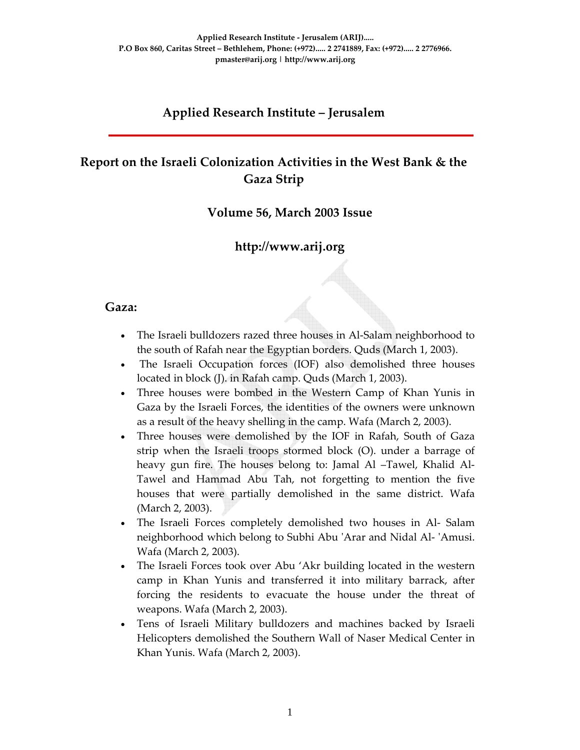### **Applied Research Institute – Jerusalem**

# **Report on the Israeli Colonization Activities in the West Bank & the Gaza Strip**

### **Volume 56, March 2003 Issue**

### **http://www.arij.org**

#### **Gaza:**

- The Israeli bulldozers razed three houses in Al-Salam neighborhood to the south of Rafah near the Egyptian borders. Quds (March 1, 2003).
- The Israeli Occupation forces (IOF) also demolished three houses located in block (J). in Rafah camp. Quds (March 1, 2003).
- Three houses were bombed in the Western Camp of Khan Yunis in Gaza by the Israeli Forces, the identities of the owners were unknown as a result of the heavy shelling in the camp. Wafa (March 2, 2003).
- Three houses were demolished by the IOF in Rafah, South of Gaza strip when the Israeli troops stormed block (O). under a barrage of heavy gun fire. The houses belong to: Jamal Al –Tawel, Khalid Al-Tawel and Hammad Abu Tah, not forgetting to mention the five houses that were partially demolished in the same district. Wafa (March 2, 2003).
- The Israeli Forces completely demolished two houses in Al- Salam neighborhood which belong to Subhi Abu ʹArar and Nidal Al‐ ʹAmusi. Wafa (March 2, 2003).
- The Israeli Forces took over Abu 'Akr building located in the western camp in Khan Yunis and transferred it into military barrack, after forcing the residents to evacuate the house under the threat of weapons. Wafa (March 2, 2003).
- Tens of Israeli Military bulldozers and machines backed by Israeli Helicopters demolished the Southern Wall of Naser Medical Center in Khan Yunis. Wafa (March 2, 2003).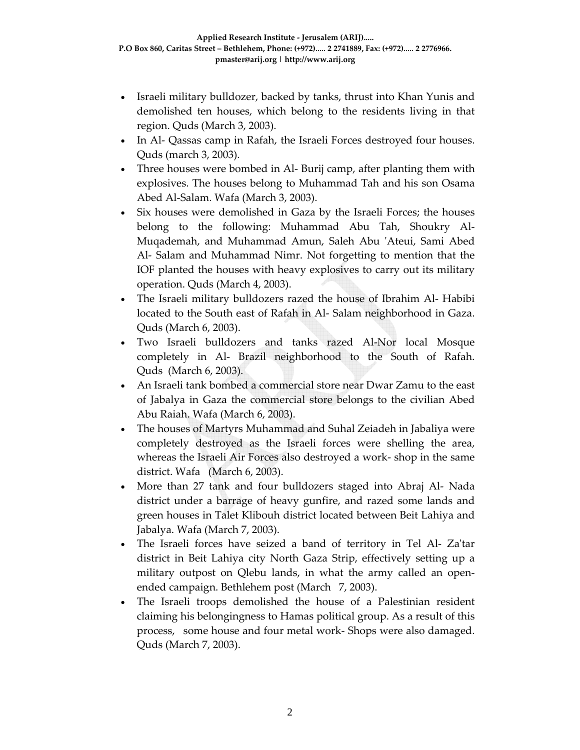- Israeli military bulldozer, backed by tanks, thrust into Khan Yunis and demolished ten houses, which belong to the residents living in that region. Quds (March 3, 2003).
- In Al- Qassas camp in Rafah, the Israeli Forces destroyed four houses. Quds (march 3, 2003).
- Three houses were bombed in Al-Burij camp, after planting them with explosives. The houses belong to Muhammad Tah and his son Osama Abed Al‐Salam. Wafa (March 3, 2003).
- Six houses were demolished in Gaza by the Israeli Forces; the houses belong to the following: Muhammad Abu Tah, Shoukry Al‐ Muqademah, and Muhammad Amun, Saleh Abu 'Ateui, Sami Abed Al‐ Salam and Muhammad Nimr. Not forgetting to mention that the IOF planted the houses with heavy explosives to carry out its military operation. Quds (March 4, 2003).
- The Israeli military bulldozers razed the house of Ibrahim Al‐ Habibi located to the South east of Rafah in Al‐ Salam neighborhood in Gaza. Quds (March 6, 2003).
- Two Israeli bulldozers and tanks razed Al-Nor local Mosque completely in Al‐ Brazil neighborhood to the South of Rafah. Quds (March 6, 2003).
- An Israeli tank bombed a commercial store near Dwar Zamu to the east of Jabalya in Gaza the commercial store belongs to the civilian Abed Abu Raiah. Wafa (March 6, 2003).
- The houses of Martyrs Muhammad and Suhal Zeiadeh in Jabaliya were completely destroyed as the Israeli forces were shelling the area, whereas the Israeli Air Forces also destroyed a work‐ shop in the same district. Wafa (March 6, 2003).
- More than 27 tank and four bulldozers staged into Abraj Al‐ Nada district under a barrage of heavy gunfire, and razed some lands and green houses in Talet Klibouh district located between Beit Lahiya and Jabalya. Wafa (March 7, 2003).
- The Israeli forces have seized a band of territory in Tel Al-Za'tar district in Beit Lahiya city North Gaza Strip, effectively setting up a military outpost on Qlebu lands, in what the army called an open‐ ended campaign. Bethlehem post (March 7, 2003).
- The Israeli troops demolished the house of a Palestinian resident claiming his belongingness to Hamas political group. As a result of this process, some house and four metal work‐ Shops were also damaged. Quds (March 7, 2003).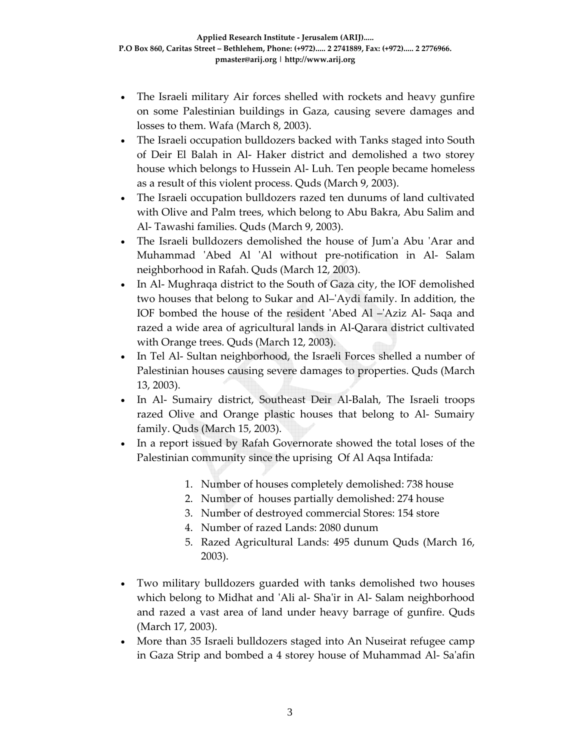- The Israeli military Air forces shelled with rockets and heavy gunfire on some Palestinian buildings in Gaza, causing severe damages and losses to them. Wafa (March 8, 2003).
- The Israeli occupation bulldozers backed with Tanks staged into South of Deir El Balah in Al‐ Haker district and demolished a two storey house which belongs to Hussein Al‐ Luh. Ten people became homeless as a result of this violent process. Quds (March 9, 2003).
- The Israeli occupation bulldozers razed ten dunums of land cultivated with Olive and Palm trees, which belong to Abu Bakra, Abu Salim and Al‐ Tawashi families. Quds (March 9, 2003).
- The Israeli bulldozers demolished the house of Jum'a Abu 'Arar and Muhammad 'Abed Al 'Al without pre-notification in Al- Salam neighborhood in Rafah. Quds (March 12, 2003).
- In Al- Mughraqa district to the South of Gaza city, the IOF demolished two houses that belong to Sukar and Al–ʹAydi family. In addition, the IOF bombed the house of the resident 'Abed Al –'Aziz Al- Saqa and razed a wide area of agricultural lands in Al‐Qarara district cultivated with Orange trees. Quds (March 12, 2003).
- In Tel Al- Sultan neighborhood, the Israeli Forces shelled a number of Palestinian houses causing severe damages to properties. Quds (March 13, 2003).
- In Al‐ Sumairy district, Southeast Deir Al‐Balah, The Israeli troops razed Olive and Orange plastic houses that belong to Al‐ Sumairy family. Quds (March 15, 2003).
- In a report issued by Rafah Governorate showed the total loses of the Palestinian community since the uprising Of Al Aqsa Intifada*:*
	- 1. Number of houses completely demolished: 738 house
	- 2. Number of houses partially demolished: 274 house
	- 3. Number of destroyed commercial Stores: 154 store
	- 4. Number of razed Lands: 2080 dunum
	- 5. Razed Agricultural Lands: 495 dunum Quds (March 16, 2003).
- Two military bulldozers guarded with tanks demolished two houses which belong to Midhat and 'Ali al- Sha'ir in Al- Salam neighborhood and razed a vast area of land under heavy barrage of gunfire. Quds (March 17, 2003).
- More than 35 Israeli bulldozers staged into An Nuseirat refugee camp in Gaza Strip and bombed a 4 storey house of Muhammad Al‐ Saʹafin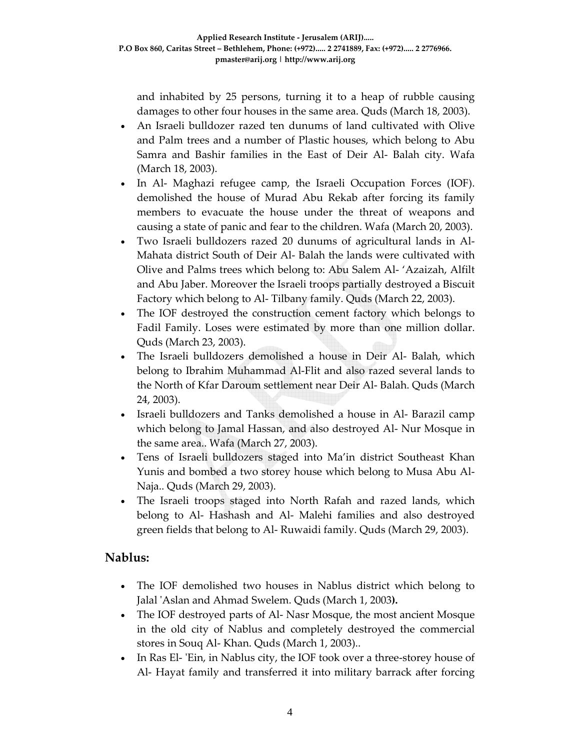and inhabited by 25 persons, turning it to a heap of rubble causing damages to other four houses in the same area. Quds (March 18, 2003).

- An Israeli bulldozer razed ten dunums of land cultivated with Olive and Palm trees and a number of Plastic houses, which belong to Abu Samra and Bashir families in the East of Deir Al‐ Balah city. Wafa (March 18, 2003).
- In Al- Maghazi refugee camp, the Israeli Occupation Forces (IOF). demolished the house of Murad Abu Rekab after forcing its family members to evacuate the house under the threat of weapons and causing a state of panic and fear to the children. Wafa (March 20, 2003).
- Two Israeli bulldozers razed 20 dunums of agricultural lands in Al‐ Mahata district South of Deir Al‐ Balah the lands were cultivated with Olive and Palms trees which belong to: Abu Salem Al‐ 'Azaizah, Alfilt and Abu Jaber. Moreover the Israeli troops partially destroyed a Biscuit Factory which belong to Al‐ Tilbany family. Quds (March 22, 2003).
- The IOF destroyed the construction cement factory which belongs to Fadil Family. Loses were estimated by more than one million dollar. Quds (March 23, 2003).
- The Israeli bulldozers demolished a house in Deir Al- Balah, which belong to Ibrahim Muhammad Al‐Flit and also razed several lands to the North of Kfar Daroum settlement near Deir Al‐ Balah. Quds (March 24, 2003).
- Israeli bulldozers and Tanks demolished a house in Al- Barazil camp which belong to Jamal Hassan, and also destroyed Al‐ Nur Mosque in the same area.. Wafa (March 27, 2003).
- Tens of Israeli bulldozers staged into Ma'in district Southeast Khan Yunis and bombed a two storey house which belong to Musa Abu Al‐ Naja.. Quds (March 29, 2003).
- The Israeli troops staged into North Rafah and razed lands, which belong to Al‐ Hashash and Al‐ Malehi families and also destroyed green fields that belong to Al‐ Ruwaidi family. Quds (March 29, 2003).

### **Nablus:**

- The IOF demolished two houses in Nablus district which belong to Jalal ʹAslan and Ahmad Swelem. Quds (March 1, 2003**).**
- The IOF destroyed parts of Al-Nasr Mosque, the most ancient Mosque in the old city of Nablus and completely destroyed the commercial stores in Souq Al‐ Khan. Quds (March 1, 2003)..
- In Ras El- 'Ein, in Nablus city, the IOF took over a three-storey house of Al‐ Hayat family and transferred it into military barrack after forcing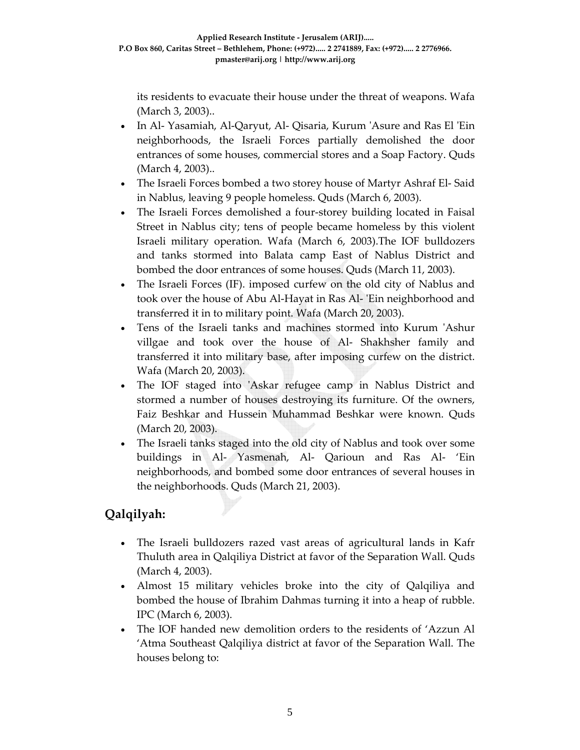its residents to evacuate their house under the threat of weapons. Wafa (March 3, 2003)..

- In Al- Yasamiah, Al-Qaryut, Al- Qisaria, Kurum 'Asure and Ras El 'Ein neighborhoods, the Israeli Forces partially demolished the door entrances of some houses, commercial stores and a Soap Factory. Quds (March 4, 2003)..
- The Israeli Forces bombed a two storey house of Martyr Ashraf El-Said in Nablus, leaving 9 people homeless. Quds (March 6, 2003).
- The Israeli Forces demolished a four-storey building located in Faisal Street in Nablus city; tens of people became homeless by this violent Israeli military operation. Wafa (March 6, 2003).The IOF bulldozers and tanks stormed into Balata camp East of Nablus District and bombed the door entrances of some houses. Quds (March 11, 2003).
- The Israeli Forces (IF). imposed curfew on the old city of Nablus and took over the house of Abu Al-Hayat in Ras Al- 'Ein neighborhood and transferred it in to military point. Wafa (March 20, 2003).
- Tens of the Israeli tanks and machines stormed into Kurum ʹAshur villgae and took over the house of Al‐ Shakhsher family and transferred it into military base, after imposing curfew on the district. Wafa (March 20, 2003).
- The IOF staged into 'Askar refugee camp in Nablus District and stormed a number of houses destroying its furniture. Of the owners, Faiz Beshkar and Hussein Muhammad Beshkar were known. Quds (March 20, 2003).
- The Israeli tanks staged into the old city of Nablus and took over some buildings in Al‐ Yasmenah, Al‐ Qarioun and Ras Al‐ 'Ein neighborhoods, and bombed some door entrances of several houses in the neighborhoods. Quds (March 21, 2003).

# **Qalqilyah:**

- The Israeli bulldozers razed vast areas of agricultural lands in Kafr Thuluth area in Qalqiliya District at favor of the Separation Wall. Quds (March 4, 2003).
- Almost 15 military vehicles broke into the city of Qalqiliya and bombed the house of Ibrahim Dahmas turning it into a heap of rubble. IPC (March 6, 2003).
- The IOF handed new demolition orders to the residents of 'Azzun Al 'Atma Southeast Qalqiliya district at favor of the Separation Wall. The houses belong to: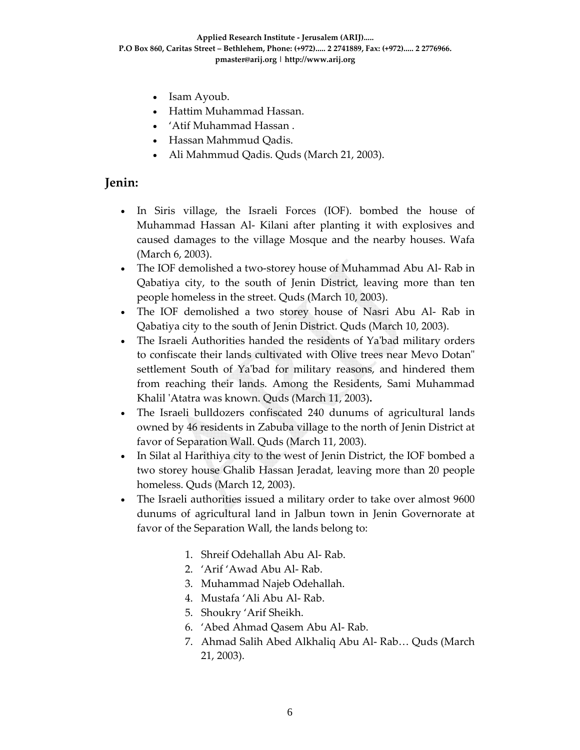- Isam Ayoub.
- Hattim Muhammad Hassan.
- 'Atif Muhammad Hassan .
- Hassan Mahmmud Qadis.
- Ali Mahmmud Qadis. Quds (March 21, 2003).

#### **Jenin:**

- In Siris village, the Israeli Forces (IOF). bombed the house of Muhammad Hassan Al‐ Kilani after planting it with explosives and caused damages to the village Mosque and the nearby houses. Wafa (March 6, 2003).
- The IOF demolished a two-storey house of Muhammad Abu Al-Rab in Qabatiya city, to the south of Jenin District, leaving more than ten people homeless in the street. Quds (March 10, 2003).
- The IOF demolished a two storey house of Nasri Abu Al‐ Rab in Qabatiya city to the south of Jenin District. Quds (March 10, 2003).
- The Israeli Authorities handed the residents of Ya'bad military orders to confiscate their lands cultivated with Olive trees near Mevo Dotan" settlement South of Ya'bad for military reasons, and hindered them from reaching their lands. Among the Residents, Sami Muhammad Khalil ʹAtatra was known. Quds (March 11, 2003)**.**
- The Israeli bulldozers confiscated 240 dunums of agricultural lands owned by 46 residents in Zabuba village to the north of Jenin District at favor of Separation Wall. Quds (March 11, 2003).
- In Silat al Harithiya city to the west of Jenin District, the IOF bombed a two storey house Ghalib Hassan Jeradat, leaving more than 20 people homeless. Quds (March 12, 2003).
- The Israeli authorities issued a military order to take over almost 9600 dunums of agricultural land in Jalbun town in Jenin Governorate at favor of the Separation Wall, the lands belong to:
	- 1. Shreif Odehallah Abu Al‐ Rab.
	- 2. 'Arif 'Awad Abu Al‐ Rab.
	- 3. Muhammad Najeb Odehallah.
	- 4. Mustafa 'Ali Abu Al‐ Rab.
	- 5. Shoukry 'Arif Sheikh.
	- 6. 'Abed Ahmad Qasem Abu Al‐ Rab.
	- 7. Ahmad Salih Abed Alkhaliq Abu Al‐ Rab… Quds (March 21, 2003).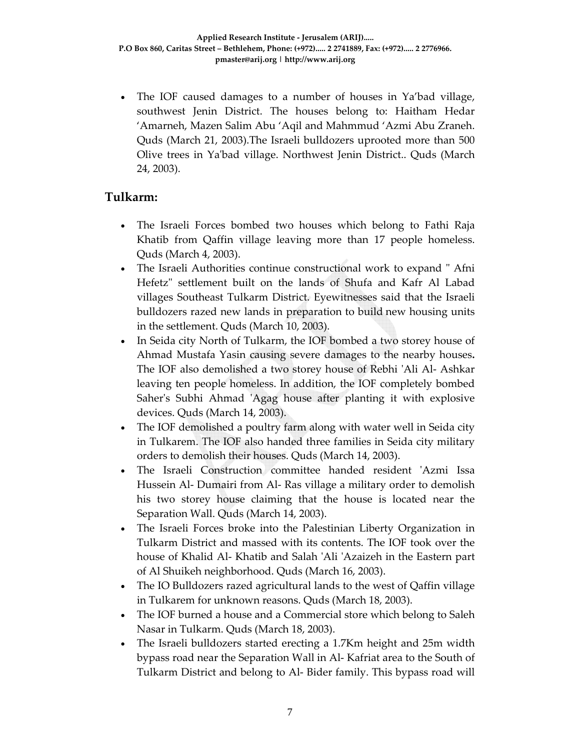• The IOF caused damages to a number of houses in Ya'bad village, southwest Jenin District. The houses belong to: Haitham Hedar 'Amarneh, Mazen Salim Abu 'Aqil and Mahmmud 'Azmi Abu Zraneh. Quds (March 21, 2003).The Israeli bulldozers uprooted more than 500 Olive trees in Yaʹbad village. Northwest Jenin District.. Quds (March 24, 2003).

### **Tulkarm:**

- The Israeli Forces bombed two houses which belong to Fathi Raja Khatib from Qaffin village leaving more than 17 people homeless. Quds (March 4, 2003).
- The Israeli Authorities continue constructional work to expand "Afni Hefetz" settlement built on the lands of Shufa and Kafr Al Labad villages Southeast Tulkarm District. Eyewitnesses said that the Israeli bulldozers razed new lands in preparation to build new housing units in the settlement. Quds (March 10, 2003).
- In Seida city North of Tulkarm, the IOF bombed a two storey house of Ahmad Mustafa Yasin causing severe damages to the nearby houses**.** The IOF also demolished a two storey house of Rebhi ʹAli Al‐ Ashkar leaving ten people homeless. In addition, the IOF completely bombed Saher's Subhi Ahmad 'Agag house after planting it with explosive devices. Quds (March 14, 2003).
- The IOF demolished a poultry farm along with water well in Seida city in Tulkarem. The IOF also handed three families in Seida city military orders to demolish their houses. Quds (March 14, 2003).
- The Israeli Construction committee handed resident 'Azmi Issa Hussein Al‐ Dumairi from Al‐ Ras village a military order to demolish his two storey house claiming that the house is located near the Separation Wall. Quds (March 14, 2003).
- The Israeli Forces broke into the Palestinian Liberty Organization in Tulkarm District and massed with its contents. The IOF took over the house of Khalid Al‐ Khatib and Salah ʹAli ʹAzaizeh in the Eastern part of Al Shuikeh neighborhood. Quds (March 16, 2003).
- The IO Bulldozers razed agricultural lands to the west of Qaffin village in Tulkarem for unknown reasons. Quds (March 18, 2003).
- The IOF burned a house and a Commercial store which belong to Saleh Nasar in Tulkarm. Quds (March 18, 2003).
- The Israeli bulldozers started erecting a 1.7Km height and 25m width bypass road near the Separation Wall in Al‐ Kafriat area to the South of Tulkarm District and belong to Al‐ Bider family. This bypass road will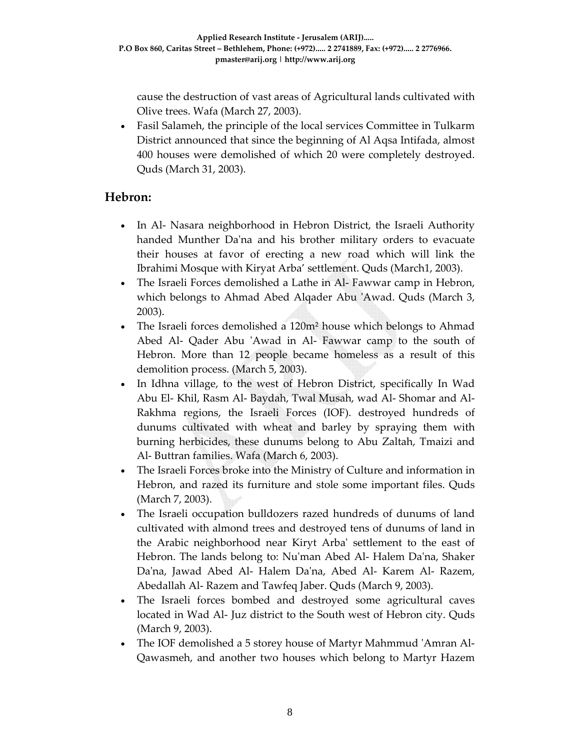cause the destruction of vast areas of Agricultural lands cultivated with Olive trees. Wafa (March 27, 2003).

• Fasil Salameh, the principle of the local services Committee in Tulkarm District announced that since the beginning of Al Aqsa Intifada, almost 400 houses were demolished of which 20 were completely destroyed. Quds (March 31, 2003).

### **Hebron:**

- In Al- Nasara neighborhood in Hebron District, the Israeli Authority handed Munther Da'na and his brother military orders to evacuate their houses at favor of erecting a new road which will link the Ibrahimi Mosque with Kiryat Arba' settlement. Quds (March1, 2003).
- The Israeli Forces demolished a Lathe in Al‐ Fawwar camp in Hebron, which belongs to Ahmad Abed Alqader Abu 'Awad. Quds (March 3, 2003).
- The Israeli forces demolished a 120m<sup>2</sup> house which belongs to Ahmad Abed Al- Qader Abu 'Awad in Al- Fawwar camp to the south of Hebron. More than 12 people became homeless as a result of this demolition process. (March 5, 2003).
- In Idhna village, to the west of Hebron District, specifically In Wad Abu El‐ Khil, Rasm Al‐ Baydah, Twal Musah, wad Al‐ Shomar and Al‐ Rakhma regions, the Israeli Forces (IOF). destroyed hundreds of dunums cultivated with wheat and barley by spraying them with burning herbicides, these dunums belong to Abu Zaltah, Tmaizi and Al‐ Buttran families. Wafa (March 6, 2003).
- The Israeli Forces broke into the Ministry of Culture and information in Hebron, and razed its furniture and stole some important files. Quds (March 7, 2003).
- The Israeli occupation bulldozers razed hundreds of dunums of land cultivated with almond trees and destroyed tens of dunums of land in the Arabic neighborhood near Kiryt Arbaʹ settlement to the east of Hebron. The lands belong to: Nuʹman Abed Al‐ Halem Daʹna, Shaker Da'na, Jawad Abed Al- Halem Da'na, Abed Al- Karem Al- Razem, Abedallah Al‐ Razem and Tawfeq Jaber. Quds (March 9, 2003).
- The Israeli forces bombed and destroyed some agricultural caves located in Wad Al‐ Juz district to the South west of Hebron city. Quds (March 9, 2003).
- The IOF demolished a 5 storey house of Martyr Mahmmud ʹAmran Al‐ Qawasmeh, and another two houses which belong to Martyr Hazem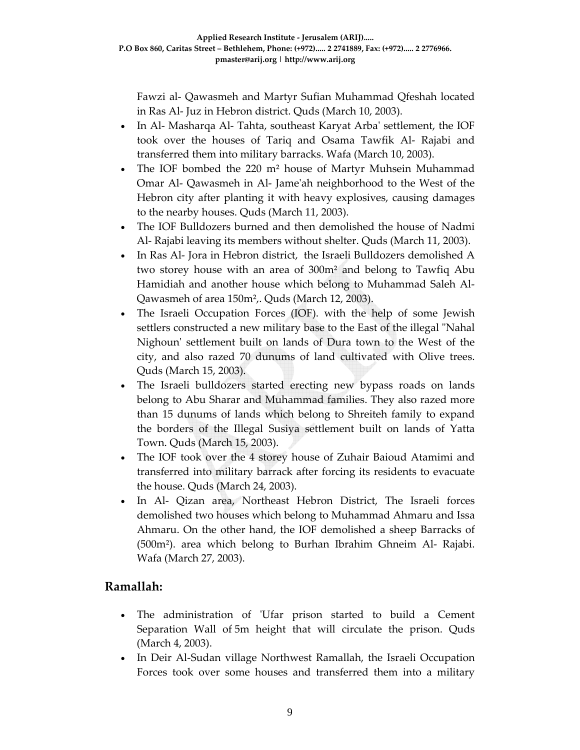Fawzi al‐ Qawasmeh and Martyr Sufian Muhammad Qfeshah located in Ras Al‐ Juz in Hebron district. Quds (March 10, 2003).

- In Al- Masharqa Al- Tahta, southeast Karyat Arba' settlement, the IOF took over the houses of Tariq and Osama Tawfik Al‐ Rajabi and transferred them into military barracks. Wafa (March 10, 2003).
- The IOF bombed the 220 m² house of Martyr Muhsein Muhammad Omar Al‐ Qawasmeh in Al‐ Jameʹah neighborhood to the West of the Hebron city after planting it with heavy explosives, causing damages to the nearby houses. Quds (March 11, 2003).
- The IOF Bulldozers burned and then demolished the house of Nadmi Al‐ Rajabi leaving its members without shelter. Quds (March 11, 2003).
- In Ras Al-Jora in Hebron district, the Israeli Bulldozers demolished A two storey house with an area of 300m² and belong to Tawfiq Abu Hamidiah and another house which belong to Muhammad Saleh Al‐ Qawasmeh of area 150m²,. Quds (March 12, 2003).
- The Israeli Occupation Forces (IOF). with the help of some Jewish settlers constructed a new military base to the East of the illegal "Nahal Nighoun' settlement built on lands of Dura town to the West of the city, and also razed 70 dunums of land cultivated with Olive trees. Quds (March 15, 2003).
- The Israeli bulldozers started erecting new bypass roads on lands belong to Abu Sharar and Muhammad families. They also razed more than 15 dunums of lands which belong to Shreiteh family to expand the borders of the Illegal Susiya settlement built on lands of Yatta Town. Quds (March 15, 2003).
- The IOF took over the 4 storey house of Zuhair Baioud Atamimi and transferred into military barrack after forcing its residents to evacuate the house. Quds (March 24, 2003).
- In Al- Qizan area, Northeast Hebron District, The Israeli forces demolished two houses which belong to Muhammad Ahmaru and Issa Ahmaru. On the other hand, the IOF demolished a sheep Barracks of (500m²). area which belong to Burhan Ibrahim Ghneim Al‐ Rajabi. Wafa (March 27, 2003).

### **Ramallah:**

- The administration of 'Ufar prison started to build a Cement Separation Wall of 5m height that will circulate the prison. Quds (March 4, 2003).
- In Deir Al‐Sudan village Northwest Ramallah, the Israeli Occupation Forces took over some houses and transferred them into a military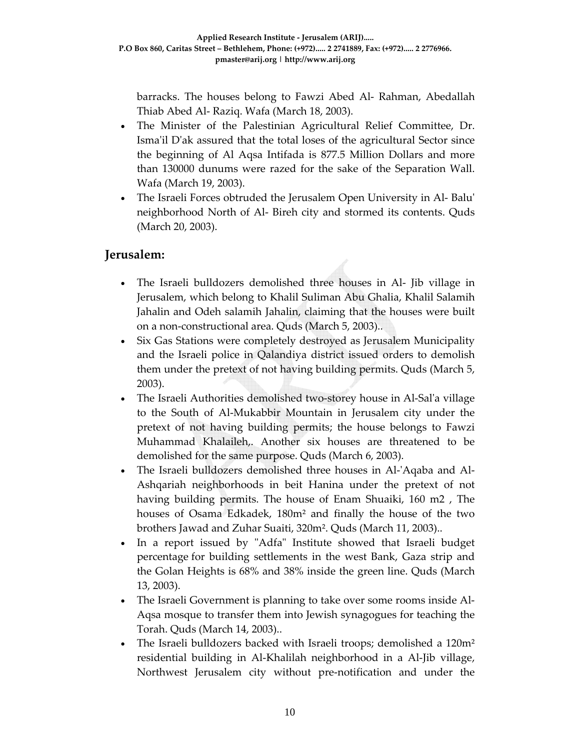barracks. The houses belong to Fawzi Abed Al‐ Rahman, Abedallah Thiab Abed Al‐ Raziq. Wafa (March 18, 2003).

- The Minister of the Palestinian Agricultural Relief Committee, Dr. Isma'il D'ak assured that the total loses of the agricultural Sector since the beginning of Al Aqsa Intifada is 877.5 Million Dollars and more than 130000 dunums were razed for the sake of the Separation Wall. Wafa (March 19, 2003).
- The Israeli Forces obtruded the Jerusalem Open University in Al‐ Baluʹ neighborhood North of Al‐ Bireh city and stormed its contents. Quds (March 20, 2003).

### **Jerusalem:**

- The Israeli bulldozers demolished three houses in Al‐ Jib village in Jerusalem, which belong to Khalil Suliman Abu Ghalia, Khalil Salamih Jahalin and Odeh salamih Jahalin, claiming that the houses were built on a non‐constructional area. Quds (March 5, 2003)..
- Six Gas Stations were completely destroyed as Jerusalem Municipality and the Israeli police in Qalandiya district issued orders to demolish them under the pretext of not having building permits. Quds (March 5, 2003).
- The Israeli Authorities demolished two-storey house in Al-Sal'a village to the South of Al‐Mukabbir Mountain in Jerusalem city under the pretext of not having building permits; the house belongs to Fawzi Muhammad Khalaileh,. Another six houses are threatened to be demolished for the same purpose. Quds (March 6, 2003).
- The Israeli bulldozers demolished three houses in Al-'Aqaba and Al-Ashqariah neighborhoods in beit Hanina under the pretext of not having building permits. The house of Enam Shuaiki, 160 m2 , The houses of Osama Edkadek, 180m² and finally the house of the two brothers Jawad and Zuhar Suaiti, 320m². Quds (March 11, 2003)..
- In a report issued by "Adfa" Institute showed that Israeli budget percentage for building settlements in the west Bank, Gaza strip and the Golan Heights is 68% and 38% inside the green line. Quds (March 13, 2003).
- The Israeli Government is planning to take over some rooms inside Al-Aqsa mosque to transfer them into Jewish synagogues for teaching the Torah. Quds (March 14, 2003)..
- The Israeli bulldozers backed with Israeli troops; demolished a 120m² residential building in Al‐Khalilah neighborhood in a Al‐Jib village, Northwest Jerusalem city without pre‐notification and under the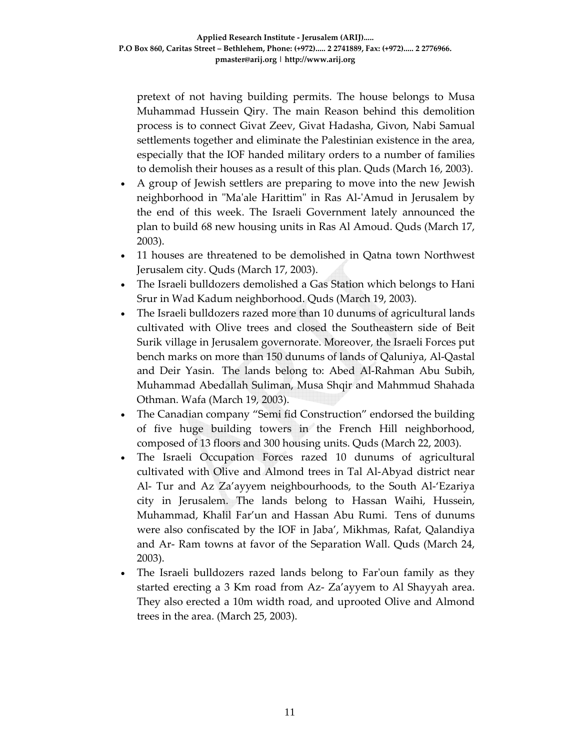pretext of not having building permits. The house belongs to Musa Muhammad Hussein Qiry. The main Reason behind this demolition process is to connect Givat Zeev, Givat Hadasha, Givon, Nabi Samual settlements together and eliminate the Palestinian existence in the area, especially that the IOF handed military orders to a number of families to demolish their houses as a result of this plan. Quds (March 16, 2003).

- A group of Jewish settlers are preparing to move into the new Jewish neighborhood in "Ma'ale Harittim" in Ras Al-'Amud in Jerusalem by the end of this week. The Israeli Government lately announced the plan to build 68 new housing units in Ras Al Amoud. Quds (March 17, 2003).
- 11 houses are threatened to be demolished in Qatna town Northwest Jerusalem city. Quds (March 17, 2003).
- The Israeli bulldozers demolished a Gas Station which belongs to Hani Srur in Wad Kadum neighborhood. Quds (March 19, 2003).
- The Israeli bulldozers razed more than 10 dunums of agricultural lands cultivated with Olive trees and closed the Southeastern side of Beit Surik village in Jerusalem governorate. Moreover, the Israeli Forces put bench marks on more than 150 dunums of lands of Qaluniya, Al‐Qastal and Deir Yasin. The lands belong to: Abed Al‐Rahman Abu Subih, Muhammad Abedallah Suliman, Musa Shqir and Mahmmud Shahada Othman. Wafa (March 19, 2003).
- The Canadian company "Semi fid Construction" endorsed the building of five huge building towers in the French Hill neighborhood, composed of 13 floors and 300 housing units. Quds (March 22, 2003).
- The Israeli Occupation Forces razed 10 dunums of agricultural cultivated with Olive and Almond trees in Tal Al‐Abyad district near Al‐ Tur and Az Za'ayyem neighbourhoods, to the South Al‐'Ezariya city in Jerusalem. The lands belong to Hassan Waihi, Hussein, Muhammad, Khalil Far'un and Hassan Abu Rumi. Tens of dunums were also confiscated by the IOF in Jaba', Mikhmas, Rafat, Qalandiya and Ar‐ Ram towns at favor of the Separation Wall. Quds (March 24, 2003).
- The Israeli bulldozers razed lands belong to Far'oun family as they started erecting a 3 Km road from Az‐ Za'ayyem to Al Shayyah area. They also erected a 10m width road, and uprooted Olive and Almond trees in the area. (March 25, 2003).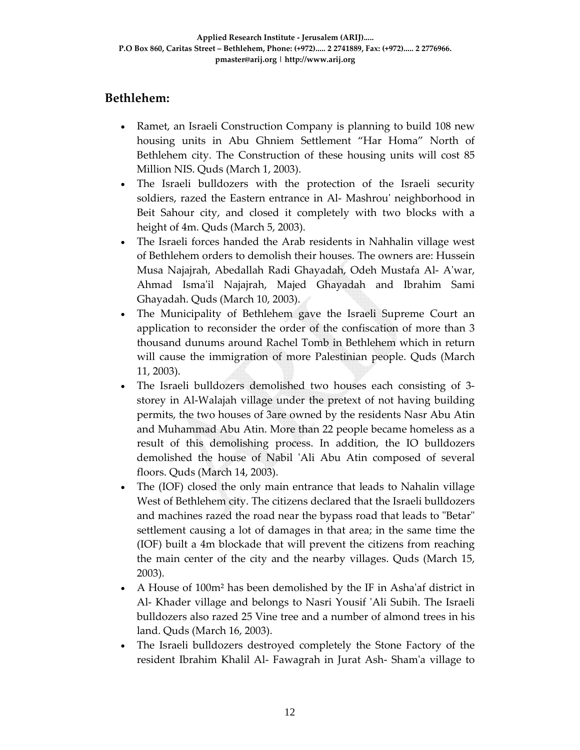## **Bethlehem:**

- Ramet, an Israeli Construction Company is planning to build 108 new housing units in Abu Ghniem Settlement "Har Homa" North of Bethlehem city. The Construction of these housing units will cost 85 Million NIS. Quds (March 1, 2003).
- The Israeli bulldozers with the protection of the Israeli security soldiers, razed the Eastern entrance in Al-Mashrou' neighborhood in Beit Sahour city, and closed it completely with two blocks with a height of 4m. Quds (March 5, 2003).
- The Israeli forces handed the Arab residents in Nahhalin village west of Bethlehem orders to demolish their houses. The owners are: Hussein Musa Najajrah, Abedallah Radi Ghayadah, Odeh Mustafa Al‐ Aʹwar, Ahmad Ismaʹil Najajrah, Majed Ghayadah and Ibrahim Sami Ghayadah. Quds (March 10, 2003).
- The Municipality of Bethlehem gave the Israeli Supreme Court an application to reconsider the order of the confiscation of more than 3 thousand dunums around Rachel Tomb in Bethlehem which in return will cause the immigration of more Palestinian people. Quds (March 11, 2003).
- The Israeli bulldozers demolished two houses each consisting of 3storey in Al-Walajah village under the pretext of not having building permits, the two houses of 3are owned by the residents Nasr Abu Atin and Muhammad Abu Atin. More than 22 people became homeless as a result of this demolishing process. In addition, the IO bulldozers demolished the house of Nabil 'Ali Abu Atin composed of several floors. Quds (March 14, 2003).
- The (IOF) closed the only main entrance that leads to Nahalin village West of Bethlehem city. The citizens declared that the Israeli bulldozers and machines razed the road near the bypass road that leads to "Betar" settlement causing a lot of damages in that area; in the same time the (IOF) built a 4m blockade that will prevent the citizens from reaching the main center of the city and the nearby villages. Quds (March 15, 2003).
- A House of 100m² has been demolished by the IF in Ashaʹaf district in Al- Khader village and belongs to Nasri Yousif 'Ali Subih. The Israeli bulldozers also razed 25 Vine tree and a number of almond trees in his land. Quds (March 16, 2003).
- The Israeli bulldozers destroyed completely the Stone Factory of the resident Ibrahim Khalil Al‐ Fawagrah in Jurat Ash‐ Shamʹa village to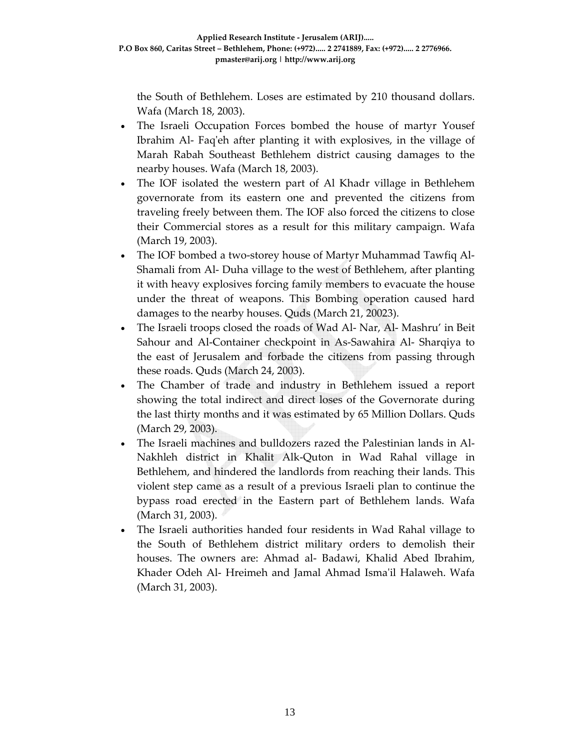the South of Bethlehem. Loses are estimated by 210 thousand dollars. Wafa (March 18, 2003).

- The Israeli Occupation Forces bombed the house of martyr Yousef Ibrahim Al‐ Faqʹeh after planting it with explosives, in the village of Marah Rabah Southeast Bethlehem district causing damages to the nearby houses. Wafa (March 18, 2003).
- The IOF isolated the western part of Al Khadr village in Bethlehem governorate from its eastern one and prevented the citizens from traveling freely between them. The IOF also forced the citizens to close their Commercial stores as a result for this military campaign. Wafa (March 19, 2003).
- The IOF bombed a two-storey house of Martyr Muhammad Tawfiq Al-Shamali from Al‐ Duha village to the west of Bethlehem, after planting it with heavy explosives forcing family members to evacuate the house under the threat of weapons. This Bombing operation caused hard damages to the nearby houses. Quds (March 21, 20023).
- The Israeli troops closed the roads of Wad Al‐ Nar, Al‐ Mashru' in Beit Sahour and Al‐Container checkpoint in As‐Sawahira Al‐ Sharqiya to the east of Jerusalem and forbade the citizens from passing through these roads. Quds (March 24, 2003).
- The Chamber of trade and industry in Bethlehem issued a report showing the total indirect and direct loses of the Governorate during the last thirty months and it was estimated by 65 Million Dollars. Quds (March 29, 2003).
- The Israeli machines and bulldozers razed the Palestinian lands in Al-Nakhleh district in Khalit Alk‐Quton in Wad Rahal village in Bethlehem, and hindered the landlords from reaching their lands. This violent step came as a result of a previous Israeli plan to continue the bypass road erected in the Eastern part of Bethlehem lands. Wafa (March 31, 2003).
- The Israeli authorities handed four residents in Wad Rahal village to the South of Bethlehem district military orders to demolish their houses. The owners are: Ahmad al‐ Badawi, Khalid Abed Ibrahim, Khader Odeh Al‐ Hreimeh and Jamal Ahmad Ismaʹil Halaweh. Wafa (March 31, 2003).